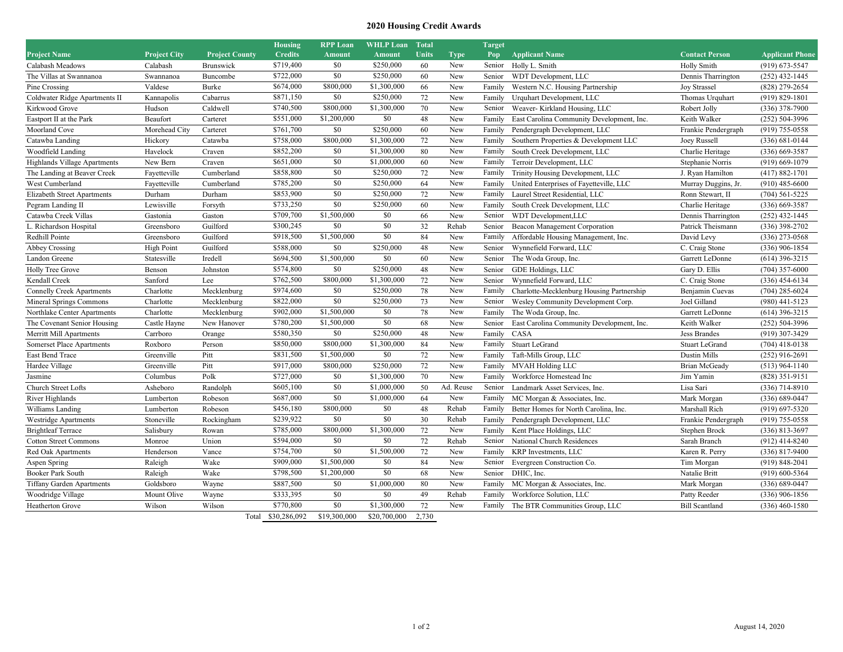## **2020 Housing Credit Awards**

|                                    |                     |                       |       | <b>Housing</b> | <b>RPP Loan</b> | <b>WHLP Loan</b> | <b>Total</b> |             | <b>Target</b> |                                           |                       |                        |
|------------------------------------|---------------------|-----------------------|-------|----------------|-----------------|------------------|--------------|-------------|---------------|-------------------------------------------|-----------------------|------------------------|
| <b>Project Name</b>                | <b>Project City</b> | <b>Project County</b> |       | <b>Credits</b> | <b>Amount</b>   | <b>Amount</b>    | <b>Units</b> | <b>Type</b> | Pop           | <b>Applicant Name</b>                     | <b>Contact Person</b> | <b>Applicant Phone</b> |
| Calabash Meadows                   | Calabash            | Brunswick             |       | \$719,400      | \$0             | \$250,000        | 60           | New         | Senior        | Holly L. Smith                            | <b>Holly Smith</b>    | $(919) 673 - 5547$     |
| The Villas at Swannanoa            | Swannanoa           | Buncombe              |       | \$722,000      | \$0             | \$250,000        | 60           | New         | Senior        | WDT Development, LLC                      | Dennis Tharrington    | $(252)$ 432-1445       |
| Pine Crossing                      | Valdese             | Burke                 |       | \$674,000      | \$800,000       | \$1,300,000      | 66           | New         | Family        | Western N.C. Housing Partnership          | <b>Joy Strassel</b>   | (828) 279-2654         |
| Coldwater Ridge Apartments II      | Kannapolis          | Cabarrus              |       | \$871,150      | \$0             | \$250,000        | 72           | New         | Family        | Urquhart Development, LLC                 | Thomas Urquhart       | $(919) 829 - 1801$     |
| Kirkwood Grove                     | Hudson              | Caldwell              |       | \$740,500      | \$800,000       | \$1,300,000      | 70           | New         | Senior        | Weaver-Kirkland Housing, LLC              | Robert Jolly          | $(336)$ 378-7900       |
| Eastport II at the Park            | Beaufort            | Carteret              |       | \$551,000      | \$1,200,000     | \$0              | 48           | New         | Family        | East Carolina Community Development, Inc. | Keith Walker          | $(252) 504 - 3996$     |
| Moorland Cove                      | Morehead City       | Carteret              |       | \$761,700      | \$0             | \$250,000        | 60           | New         | Family        | Pendergraph Development, LLC              | Frankie Pendergraph   | $(919)$ 755-0558       |
| Catawba Landing                    | Hickory             | Catawba               |       | \$758,000      | \$800,000       | \$1,300,000      | 72           | New         | Family        | Southern Properties & Development LLC     | Joey Russell          | $(336) 681 - 0144$     |
| Woodfield Landing                  | Havelock            | Craven                |       | \$852,200      | \$0             | \$1,300,000      | 80           | New         | Family        | South Creek Development, LLC              | Charlie Heritage      | $(336)$ 669-3587       |
| Highlands Village Apartments       | New Bern            | Craven                |       | \$651,000      | \$0             | \$1,000,000      | 60           | New         | Family        | Terroir Development, LLC                  | Stephanie Norris      | $(919) 669 - 1079$     |
| The Landing at Beaver Creek        | Fayetteville        | Cumberland            |       | \$858,800      | \$0             | \$250,000        | 72           | New         | Family        | Trinity Housing Development, LLC          | J. Ryan Hamilton      | $(417) 882 - 1701$     |
| West Cumberland                    | Fayetteville        | Cumberland            |       | \$785,200      | \$0             | \$250,000        | 64           | New         | Family        | United Enterprises of Fayetteville, LLC   | Murray Duggins, Jr.   | $(910)$ 485-6600       |
| <b>Elizabeth Street Apartments</b> | Durham              | Durham                |       | \$853,900      | \$0             | \$250,000        | 72           | New         | Family        | Laurel Street Residential, LLC            | Ronn Stewart, II      | $(704) 561 - 5225$     |
| Pegram Landing II                  | Lewisville          | Forsyth               |       | \$733,250      | \$0             | \$250,000        | 60           | New         | Family        | South Creek Development, LLC              | Charlie Heritage      | $(336)$ 669-3587       |
| Catawba Creek Villas               | Gastonia            | Gaston                |       | \$709,700      | \$1,500,000     | \$0              | 66           | New         | Senior        | WDT Development, LLC                      | Dennis Tharrington    | $(252)$ 432-1445       |
| L. Richardson Hospital             | Greensboro          | Guilford              |       | \$300,245      | \$0             | \$0              | 32           | Rehab       | Senior        | Beacon Management Corporation             | Patrick Theismann     | $(336)$ 398-2702       |
| Redhill Pointe                     | Greensboro          | Guilford              |       | \$918,500      | \$1,500,000     | \$0              | 84           | New         | Family        | Affordable Housing Management, Inc.       | David Levy            | $(336)$ 273-0568       |
| Abbey Crossing                     | <b>High Point</b>   | Guilford              |       | \$588,000      | \$0             | \$250,000        | 48           | New         | Senior        | Wynnefield Forward, LLC                   | C. Craig Stone        | $(336)$ 906-1854       |
| Landon Greene                      | Statesville         | Iredell               |       | \$694,500      | \$1,500,000     | \$0              | 60           | New         | Senior        | The Woda Group, Inc.                      | Garrett LeDonne       | $(614)$ 396-3215       |
| <b>Holly Tree Grove</b>            | Benson              | Johnston              |       | \$574,800      | \$0             | \$250,000        | 48           | New         | Senior        | GDE Holdings, LLC                         | Gary D. Ellis         | $(704)$ 357-6000       |
| Kendall Creek                      | Sanford             | Lee                   |       | \$762,500      | \$800,000       | \$1,300,000      | 72           | New         | Senior        | Wynnefield Forward, LLC                   | C. Craig Stone        | $(336)$ 454-6134       |
| <b>Connelly Creek Apartments</b>   | Charlotte           | Mecklenburg           |       | \$974,600      | \$0             | \$250,000        | 78           | New         | Family        | Charlotte-Mecklenburg Housing Partnership | Benjamin Cuevas       | $(704)$ 285-6024       |
| Mineral Springs Commons            | Charlotte           | Mecklenburg           |       | \$822,000      | \$0             | \$250,000        | 73           | New         | Senior        | Wesley Community Development Corp.        | Joel Gilland          | $(980)$ 441-5123       |
| Northlake Center Apartments        | Charlotte           | Mecklenburg           |       | \$902,000      | \$1,500,000     | \$0              | 78           | New         | Family        | The Woda Group, Inc.                      | Garrett LeDonne       | $(614)$ 396-3215       |
| The Covenant Senior Housing        | Castle Hayne        | New Hanover           |       | \$780,200      | \$1,500,000     | \$0              | 68           | New         | Senior        | East Carolina Community Development, Inc. | Keith Walker          | $(252) 504-3996$       |
| Merritt Mill Apartments            | Carrboro            | Orange                |       | \$580,350      | \$0             | \$250,000        | 48           | New         | Family        | CASA                                      | <b>Jess Brandes</b>   | (919) 307-3429         |
| <b>Somerset Place Apartments</b>   | Roxboro             | Person                |       | \$850,000      | \$800,000       | \$1,300,000      | 84           | New         | Family        | Stuart LeGrand                            | <b>Stuart LeGrand</b> | $(704)$ 418-0138       |
| East Bend Trace                    | Greenville          | Pitt                  |       | \$831,500      | \$1,500,000     | \$0              | 72           | New         | Family        | Taft-Mills Group, LLC                     | <b>Dustin Mills</b>   | $(252)$ 916-2691       |
| Hardee Village                     | Greenville          | Pitt                  |       | \$917,000      | \$800,000       | \$250,000        | 72           | New         | Family        | MVAH Holding LLC                          | <b>Brian McGeady</b>  | $(513)$ 964-1140       |
| Jasmine                            | Columbus            | Polk                  |       | \$727,000      | \$0             | \$1,300,000      | 70           | New         | Family        | Workforce Homestead Inc                   | Jim Yamin             | $(828)$ 351-9151       |
| Church Street Lofts                | Asheboro            | Randolph              |       | \$605,100      | \$0             | \$1,000,000      | 50           | Ad. Reuse   | Senior        | Landmark Asset Services, Inc.             | Lisa Sari             | (336) 714-8910         |
| River Highlands                    | Lumberton           | Robeson               |       | \$687,000      | \$0             | \$1,000,000      | 64           | New         | Family        | MC Morgan & Associates, Inc.              | Mark Morgan           | $(336) 689 - 0447$     |
| Williams Landing                   | Lumberton           | Robeson               |       | \$456,180      | \$800,000       | \$0              | 48           | Rehab       | Family        | Better Homes for North Carolina, Inc.     | Marshall Rich         | $(919)$ 697-5320       |
| Westridge Apartments               | Stoneville          | Rockingham            |       | \$239,922      | \$0             | \$0              | 30           | Rehab       | Family        | Pendergraph Development, LLC              | Frankie Pendergraph   | $(919)$ 755-0558       |
| <b>Brightleaf Terrace</b>          | Salisbury           | Rowan                 |       | \$785,000      | \$800,000       | \$1,300,000      | 72           | New         | Family        | Kent Place Holdings, LLC                  | Stephen Brock         | $(336) 813 - 3697$     |
| <b>Cotton Street Commons</b>       | Monroe              | Union                 |       | \$594,000      | \$0             | \$0              | 72           | Rehab       | Senior        | National Church Residences                | Sarah Branch          | $(912)$ 414-8240       |
| Red Oak Apartments                 | Henderson           | Vance                 |       | \$754,700      | \$0             | \$1,500,000      | 72           | New         | Family        | KRP Investments, LLC                      | Karen R. Perry        | $(336)$ 817-9400       |
| Aspen Spring                       | Raleigh             | Wake                  |       | \$909,000      | \$1,500,000     | \$0              | 84           | New         | Senior        | Evergreen Construction Co.                | Tim Morgan            | $(919) 848 - 2041$     |
| Booker Park South                  | Raleigh             | Wake                  |       | \$798,500      | \$1,200,000     | \$0              | 68           | New         | Senior        | DHIC, Inc.                                | Natalie Britt         | $(919)$ 600-5364       |
| <b>Tiffany Garden Apartments</b>   | Goldsboro           | Wayne                 |       | \$887,500      | \$0             | \$1,000,000      | 80           | New         | Family        | MC Morgan & Associates, Inc.              | Mark Morgan           | $(336) 689 - 0447$     |
| Woodridge Village                  | Mount Olive         | Wayne                 |       | \$333,395      | \$0             | \$0              | 49           | Rehab       | Family        | Workforce Solution, LLC                   | Patty Reeder          | $(336)$ 906-1856       |
| <b>Heatherton Grove</b>            | Wilson              | Wilson                |       | \$770,800      | \$0             | \$1,300,000      | 72           | New         | Family        | The BTR Communities Group, LLC            | <b>Bill Scantland</b> | $(336)$ 460-1580       |
|                                    |                     |                       | Total | \$30,286,092   | \$19,300,000    | \$20,700,000     | 2.730        |             |               |                                           |                       |                        |